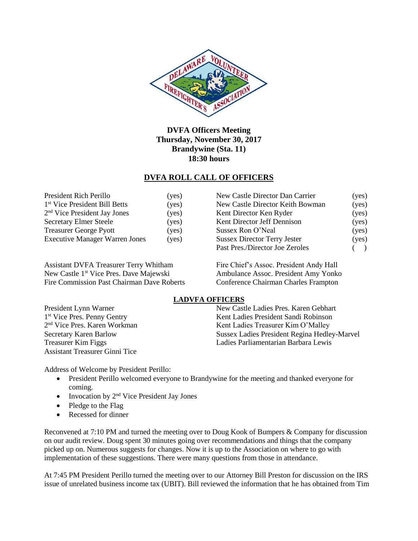

**DVFA Officers Meeting Thursday, November 30, 2017 Brandywine (Sta. 11) 18:30 hours**

#### **DVFA ROLL CALL OF OFFICERS**

| President Rich Perillo                    | (yes) |
|-------------------------------------------|-------|
| 1 <sup>st</sup> Vice President Bill Betts | (yes) |
| 2 <sup>nd</sup> Vice President Jay Jones  | (yes) |
| <b>Secretary Elmer Steele</b>             | (yes) |
| <b>Treasurer George Pyott</b>             | (yes) |
| <b>Executive Manager Warren Jones</b>     | (yes) |

Assistant DVFA Treasurer Terry Whitham Fire Chief's Assoc. President Andy Hall New Castle 1<sup>st</sup> Vice Pres. Dave Majewski Ambulance Assoc. President Amy Yonko Fire Commission Past Chairman Dave Roberts Conference Chairman Charles Frampton

| President Rich Perillo                    | (yes) | New Castle Director Dan Carrier     | (yes) |
|-------------------------------------------|-------|-------------------------------------|-------|
| 1 <sup>st</sup> Vice President Bill Betts | (yes) | New Castle Director Keith Bowman    | (yes) |
| 2 <sup>nd</sup> Vice President Jay Jones  | (yes) | Kent Director Ken Ryder             | (yes) |
| <b>Secretary Elmer Steele</b>             | (yes) | Kent Director Jeff Dennison         | (yes) |
| <b>Treasurer George Pyott</b>             | (yes) | Sussex Ron O'Neal                   | (yes) |
| <b>Executive Manager Warren Jones</b>     | (yes) | <b>Sussex Director Terry Jester</b> | (yes) |
|                                           |       | Past Pres./Director Joe Zeroles     |       |

#### **LADVFA OFFICERS**

President Lynn Warner New Castle Ladies Pres. Karen Gebhart Kent Ladies President Sandi Robinson Kent Ladies Treasurer Kim O'Malley Secretary Karen Barlow Sussex Ladies President Regina Hedley-Marvel Treasurer Kim Figgs Ladies Parliamentarian Barbara Lewis

Address of Welcome by President Perillo:

- President Perillo welcomed everyone to Brandywine for the meeting and thanked everyone for coming.
- Invocation by  $2<sup>nd</sup>$  Vice President Jay Jones
- Pledge to the Flag

1<sup>st</sup> Vice Pres. Penny Gentry

2<sup>nd</sup> Vice Pres. Karen Workman

Assistant Treasurer Ginni Tice

• Recessed for dinner

Reconvened at 7:10 PM and turned the meeting over to Doug Kook of Bumpers & Company for discussion on our audit review. Doug spent 30 minutes going over recommendations and things that the company picked up on. Numerous suggests for changes. Now it is up to the Association on where to go with implementation of these suggestions. There were many questions from those in attendance.

At 7:45 PM President Perillo turned the meeting over to our Attorney Bill Preston for discussion on the IRS issue of unrelated business income tax (UBIT). Bill reviewed the information that he has obtained from Tim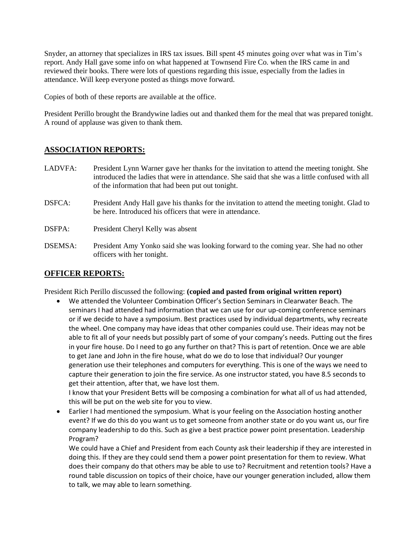Snyder, an attorney that specializes in IRS tax issues. Bill spent 45 minutes going over what was in Tim's report. Andy Hall gave some info on what happened at Townsend Fire Co. when the IRS came in and reviewed their books. There were lots of questions regarding this issue, especially from the ladies in attendance. Will keep everyone posted as things move forward.

Copies of both of these reports are available at the office.

President Perillo brought the Brandywine ladies out and thanked them for the meal that was prepared tonight. A round of applause was given to thank them.

#### **ASSOCIATION REPORTS:**

- LADVFA: President Lynn Warner gave her thanks for the invitation to attend the meeting tonight. She introduced the ladies that were in attendance. She said that she was a little confused with all of the information that had been put out tonight.
- DSFCA: President Andy Hall gave his thanks for the invitation to attend the meeting tonight. Glad to be here. Introduced his officers that were in attendance.
- DSFPA: President Cheryl Kelly was absent
- DSEMSA: President Amy Yonko said she was looking forward to the coming year. She had no other officers with her tonight.

## **OFFICER REPORTS:**

President Rich Perillo discussed the following: **(copied and pasted from original written report)**

 We attended the Volunteer Combination Officer's Section Seminars in Clearwater Beach. The seminars I had attended had information that we can use for our up-coming conference seminars or if we decide to have a symposium. Best practices used by individual departments, why recreate the wheel. One company may have ideas that other companies could use. Their ideas may not be able to fit all of your needs but possibly part of some of your company's needs. Putting out the fires in your fire house. Do I need to go any further on that? This is part of retention. Once we are able to get Jane and John in the fire house, what do we do to lose that individual? Our younger generation use their telephones and computers for everything. This is one of the ways we need to capture their generation to join the fire service. As one instructor stated, you have 8.5 seconds to get their attention, after that, we have lost them.

I know that your President Betts will be composing a combination for what all of us had attended, this will be put on the web site for you to view.

 Earlier I had mentioned the symposium. What is your feeling on the Association hosting another event? If we do this do you want us to get someone from another state or do you want us, our fire company leadership to do this. Such as give a best practice power point presentation. Leadership Program?

We could have a Chief and President from each County ask their leadership if they are interested in doing this. If they are they could send them a power point presentation for them to review. What does their company do that others may be able to use to? Recruitment and retention tools? Have a round table discussion on topics of their choice, have our younger generation included, allow them to talk, we may able to learn something.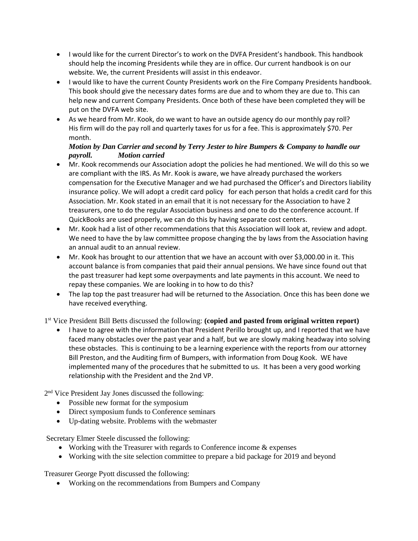- I would like for the current Director's to work on the DVFA President's handbook. This handbook should help the incoming Presidents while they are in office. Our current handbook is on our website. We, the current Presidents will assist in this endeavor.
- I would like to have the current County Presidents work on the Fire Company Presidents handbook. This book should give the necessary dates forms are due and to whom they are due to. This can help new and current Company Presidents. Once both of these have been completed they will be put on the DVFA web site.
- As we heard from Mr. Kook, do we want to have an outside agency do our monthly pay roll? His firm will do the pay roll and quarterly taxes for us for a fee. This is approximately \$70. Per month.

#### *Motion by Dan Carrier and second by Terry Jester to hire Bumpers & Company to handle our payroll. Motion carried*

- Mr. Kook recommends our Association adopt the policies he had mentioned. We will do this so we are compliant with the IRS. As Mr. Kook is aware, we have already purchased the workers compensation for the Executive Manager and we had purchased the Officer's and Directors liability insurance policy. We will adopt a credit card policy for each person that holds a credit card for this Association. Mr. Kook stated in an email that it is not necessary for the Association to have 2 treasurers, one to do the regular Association business and one to do the conference account. If QuickBooks are used properly, we can do this by having separate cost centers.
- Mr. Kook had a list of other recommendations that this Association will look at, review and adopt. We need to have the by law committee propose changing the by laws from the Association having an annual audit to an annual review.
- Mr. Kook has brought to our attention that we have an account with over \$3,000.00 in it. This account balance is from companies that paid their annual pensions. We have since found out that the past treasurer had kept some overpayments and late payments in this account. We need to repay these companies. We are looking in to how to do this?
- The lap top the past treasurer had will be returned to the Association. Once this has been done we have received everything.

## 1 st Vice President Bill Betts discussed the following: **(copied and pasted from original written report)**

 I have to agree with the information that President Perillo brought up, and I reported that we have faced many obstacles over the past year and a half, but we are slowly making headway into solving these obstacles. This is continuing to be a learning experience with the reports from our attorney Bill Preston, and the Auditing firm of Bumpers, with information from Doug Kook. WE have implemented many of the procedures that he submitted to us. It has been a very good working relationship with the President and the 2nd VP.

2<sup>nd</sup> Vice President Jay Jones discussed the following:

- Possible new format for the symposium
- Direct symposium funds to Conference seminars
- Up-dating website. Problems with the webmaster

Secretary Elmer Steele discussed the following:

- Working with the Treasurer with regards to Conference income & expenses
- Working with the site selection committee to prepare a bid package for 2019 and beyond

Treasurer George Pyott discussed the following:

• Working on the recommendations from Bumpers and Company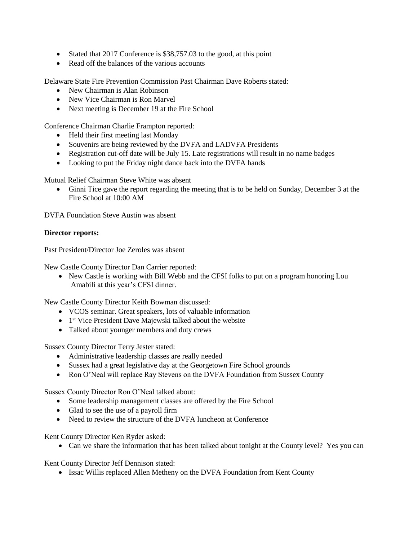- Stated that 2017 Conference is \$38,757.03 to the good, at this point
- Read off the balances of the various accounts

Delaware State Fire Prevention Commission Past Chairman Dave Roberts stated:

- New Chairman is Alan Robinson
- New Vice Chairman is Ron Marvel
- Next meeting is December 19 at the Fire School

Conference Chairman Charlie Frampton reported:

- Held their first meeting last Monday
- Souvenirs are being reviewed by the DVFA and LADVFA Presidents
- Registration cut-off date will be July 15. Late registrations will result in no name badges
- Looking to put the Friday night dance back into the DVFA hands

Mutual Relief Chairman Steve White was absent

 Ginni Tice gave the report regarding the meeting that is to be held on Sunday, December 3 at the Fire School at 10:00 AM

DVFA Foundation Steve Austin was absent

#### **Director reports:**

Past President/Director Joe Zeroles was absent

New Castle County Director Dan Carrier reported:

• New Castle is working with Bill Webb and the CFSI folks to put on a program honoring Lou Amabili at this year's CFSI dinner.

New Castle County Director Keith Bowman discussed:

- VCOS seminar. Great speakers, lots of valuable information
- 1<sup>st</sup> Vice President Dave Majewski talked about the website
- Talked about younger members and duty crews

Sussex County Director Terry Jester stated:

- Administrative leadership classes are really needed
- Sussex had a great legislative day at the Georgetown Fire School grounds
- Ron O'Neal will replace Ray Stevens on the DVFA Foundation from Sussex County

Sussex County Director Ron O'Neal talked about:

- Some leadership management classes are offered by the Fire School
- Glad to see the use of a payroll firm
- Need to review the structure of the DVFA luncheon at Conference

Kent County Director Ken Ryder asked:

• Can we share the information that has been talked about tonight at the County level? Yes you can

Kent County Director Jeff Dennison stated:

• Issac Willis replaced Allen Metheny on the DVFA Foundation from Kent County